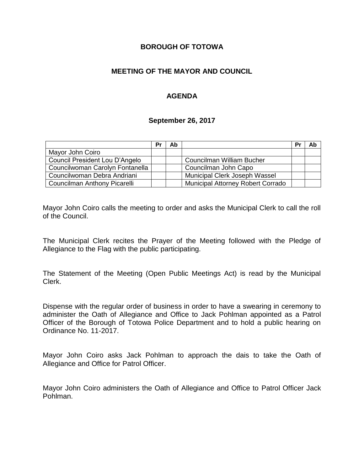### **BOROUGH OF TOTOWA**

## **MEETING OF THE MAYOR AND COUNCIL**

## **AGENDA**

#### **September 26, 2017**

|                                 | Pr | Ab |                                          | Pr | Ab |
|---------------------------------|----|----|------------------------------------------|----|----|
| Mayor John Coiro                |    |    |                                          |    |    |
| Council President Lou D'Angelo  |    |    | Councilman William Bucher                |    |    |
| Councilwoman Carolyn Fontanella |    |    | Councilman John Capo                     |    |    |
| Councilwoman Debra Andriani     |    |    | Municipal Clerk Joseph Wassel            |    |    |
| Councilman Anthony Picarelli    |    |    | <b>Municipal Attorney Robert Corrado</b> |    |    |

Mayor John Coiro calls the meeting to order and asks the Municipal Clerk to call the roll of the Council.

The Municipal Clerk recites the Prayer of the Meeting followed with the Pledge of Allegiance to the Flag with the public participating.

The Statement of the Meeting (Open Public Meetings Act) is read by the Municipal Clerk.

Dispense with the regular order of business in order to have a swearing in ceremony to administer the Oath of Allegiance and Office to Jack Pohlman appointed as a Patrol Officer of the Borough of Totowa Police Department and to hold a public hearing on Ordinance No. 11-2017.

Mayor John Coiro asks Jack Pohlman to approach the dais to take the Oath of Allegiance and Office for Patrol Officer.

Mayor John Coiro administers the Oath of Allegiance and Office to Patrol Officer Jack Pohlman.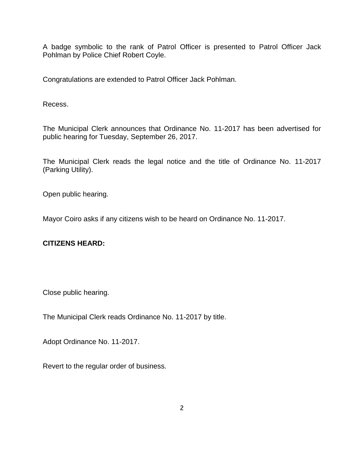A badge symbolic to the rank of Patrol Officer is presented to Patrol Officer Jack Pohlman by Police Chief Robert Coyle.

Congratulations are extended to Patrol Officer Jack Pohlman.

Recess.

The Municipal Clerk announces that Ordinance No. 11-2017 has been advertised for public hearing for Tuesday, September 26, 2017.

The Municipal Clerk reads the legal notice and the title of Ordinance No. 11-2017 (Parking Utility).

Open public hearing.

Mayor Coiro asks if any citizens wish to be heard on Ordinance No. 11-2017.

# **CITIZENS HEARD:**

Close public hearing.

The Municipal Clerk reads Ordinance No. 11-2017 by title.

Adopt Ordinance No. 11-2017.

Revert to the regular order of business.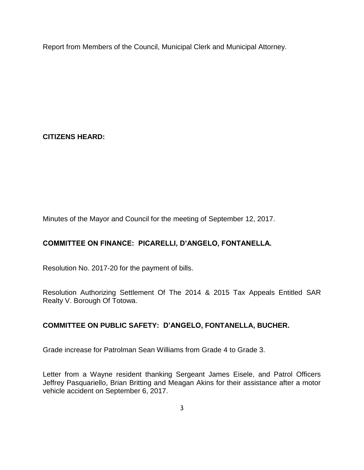Report from Members of the Council, Municipal Clerk and Municipal Attorney.

# **CITIZENS HEARD:**

Minutes of the Mayor and Council for the meeting of September 12, 2017.

# **COMMITTEE ON FINANCE: PICARELLI, D'ANGELO, FONTANELLA.**

Resolution No. 2017-20 for the payment of bills.

Resolution Authorizing Settlement Of The 2014 & 2015 Tax Appeals Entitled SAR Realty V. Borough Of Totowa.

# **COMMITTEE ON PUBLIC SAFETY: D'ANGELO, FONTANELLA, BUCHER.**

Grade increase for Patrolman Sean Williams from Grade 4 to Grade 3.

Letter from a Wayne resident thanking Sergeant James Eisele, and Patrol Officers Jeffrey Pasquariello, Brian Britting and Meagan Akins for their assistance after a motor vehicle accident on September 6, 2017.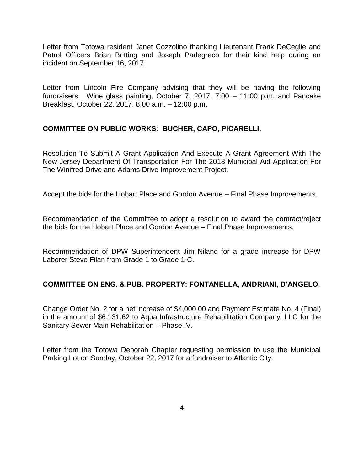Letter from Totowa resident Janet Cozzolino thanking Lieutenant Frank DeCeglie and Patrol Officers Brian Britting and Joseph Parlegreco for their kind help during an incident on September 16, 2017.

Letter from Lincoln Fire Company advising that they will be having the following fundraisers: Wine glass painting, October 7, 2017, 7:00 – 11:00 p.m. and Pancake Breakfast, October 22, 2017, 8:00 a.m. – 12:00 p.m.

### **COMMITTEE ON PUBLIC WORKS: BUCHER, CAPO, PICARELLI.**

Resolution To Submit A Grant Application And Execute A Grant Agreement With The New Jersey Department Of Transportation For The 2018 Municipal Aid Application For The Winifred Drive and Adams Drive Improvement Project.

Accept the bids for the Hobart Place and Gordon Avenue – Final Phase Improvements.

Recommendation of the Committee to adopt a resolution to award the contract/reject the bids for the Hobart Place and Gordon Avenue – Final Phase Improvements.

Recommendation of DPW Superintendent Jim Niland for a grade increase for DPW Laborer Steve Filan from Grade 1 to Grade 1-C.

### **COMMITTEE ON ENG. & PUB. PROPERTY: FONTANELLA, ANDRIANI, D'ANGELO.**

Change Order No. 2 for a net increase of \$4,000.00 and Payment Estimate No. 4 (Final) in the amount of \$6,131.62 to Aqua Infrastructure Rehabilitation Company, LLC for the Sanitary Sewer Main Rehabilitation – Phase IV.

Letter from the Totowa Deborah Chapter requesting permission to use the Municipal Parking Lot on Sunday, October 22, 2017 for a fundraiser to Atlantic City.